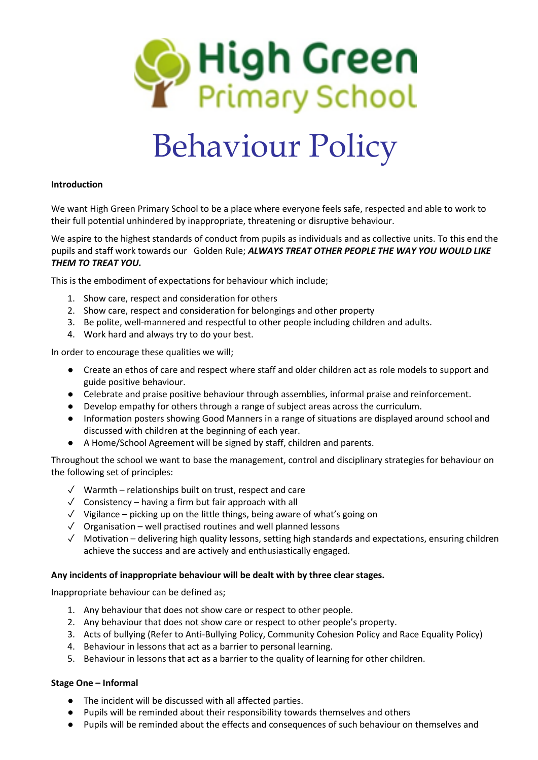

# Behaviour Policy

### **Introduction**

We want High Green Primary School to be a place where everyone feels safe, respected and able to work to their full potential unhindered by inappropriate, threatening or disruptive behaviour.

We aspire to the highest standards of conduct from pupils as individuals and as collective units. To this end the pupils and staff work towards our Golden Rule; *ALWAYS TREAT OTHER PEOPLE THE WAY YOU WOULD LIKE THEM TO TREAT YOU.*

This is the embodiment of expectations for behaviour which include;

- 1. Show care, respect and consideration for others
- 2. Show care, respect and consideration for belongings and other property
- 3. Be polite, well-mannered and respectful to other people including children and adults.
- 4. Work hard and always try to do your best.

In order to encourage these qualities we will;

- Create an ethos of care and respect where staff and older children act as role models to support and guide positive behaviour.
- Celebrate and praise positive behaviour through assemblies, informal praise and reinforcement.
- Develop empathy for others through a range of subject areas across the curriculum.
- Information posters showing Good Manners in a range of situations are displayed around school and discussed with children at the beginning of each year.
- A Home/School Agreement will be signed by staff, children and parents.

Throughout the school we want to base the management, control and disciplinary strategies for behaviour on the following set of principles:

- ✓ Warmth relationships built on trust, respect and care
- $\sqrt{\phantom{a}}$  Consistency having a firm but fair approach with all
- ✓ Vigilance picking up on the little things, being aware of what's going on
- ✓ Organisation well practised routines and well planned lessons
- $\sqrt{ }$  Motivation delivering high quality lessons, setting high standards and expectations, ensuring children achieve the success and are actively and enthusiastically engaged.

#### **Any incidents of inappropriate behaviour will be dealt with by three clear stages.**

Inappropriate behaviour can be defined as;

- 1. Any behaviour that does not show care or respect to other people.
- 2. Any behaviour that does not show care or respect to other people's property.
- 3. Acts of bullying (Refer to Anti-Bullying Policy, Community Cohesion Policy and Race Equality Policy)
- 4. Behaviour in lessons that act as a barrier to personal learning.
- 5. Behaviour in lessons that act as a barrier to the quality of learning for other children.

#### **Stage One – Informal**

- The incident will be discussed with all affected parties.
- Pupils will be reminded about their responsibility towards themselves and others
- Pupils will be reminded about the effects and consequences of such behaviour on themselves and